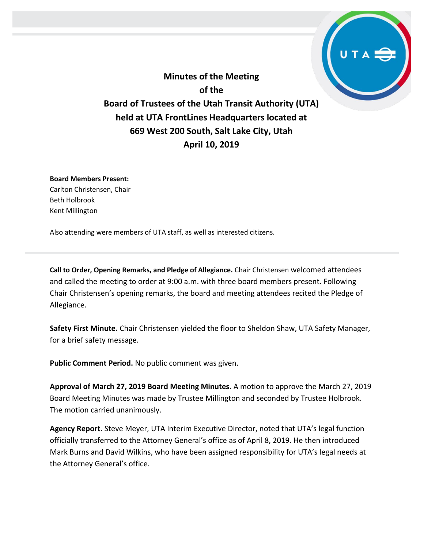**Minutes of the Meeting of the Board of Trustees of the Utah Transit Authority (UTA) held at UTA FrontLines Headquarters located at 669 West 200 South, Salt Lake City, Utah April 10, 2019**

**Board Members Present:**

Carlton Christensen, Chair Beth Holbrook Kent Millington

Also attending were members of UTA staff, as well as interested citizens.

**Call to Order, Opening Remarks, and Pledge of Allegiance.** Chair Christensen welcomed attendees and called the meeting to order at 9:00 a.m. with three board members present. Following Chair Christensen's opening remarks, the board and meeting attendees recited the Pledge of Allegiance.

**Safety First Minute.** Chair Christensen yielded the floor to Sheldon Shaw, UTA Safety Manager, for a brief safety message.

**Public Comment Period.** No public comment was given.

**Approval of March 27, 2019 Board Meeting Minutes.** A motion to approve the March 27, 2019 Board Meeting Minutes was made by Trustee Millington and seconded by Trustee Holbrook. The motion carried unanimously.

**Agency Report.** Steve Meyer, UTA Interim Executive Director, noted that UTA's legal function officially transferred to the Attorney General's office as of April 8, 2019. He then introduced Mark Burns and David Wilkins, who have been assigned responsibility for UTA's legal needs at the Attorney General's office.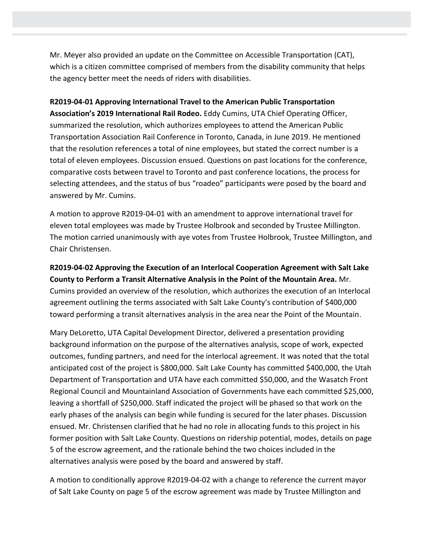Mr. Meyer also provided an update on the Committee on Accessible Transportation (CAT), which is a citizen committee comprised of members from the disability community that helps the agency better meet the needs of riders with disabilities.

**R2019-04-01 Approving International Travel to the American Public Transportation Association's 2019 International Rail Rodeo.** Eddy Cumins, UTA Chief Operating Officer, summarized the resolution, which authorizes employees to attend the American Public Transportation Association Rail Conference in Toronto, Canada, in June 2019. He mentioned that the resolution references a total of nine employees, but stated the correct number is a total of eleven employees. Discussion ensued. Questions on past locations for the conference, comparative costs between travel to Toronto and past conference locations, the process for selecting attendees, and the status of bus "roadeo" participants were posed by the board and answered by Mr. Cumins.

A motion to approve R2019-04-01 with an amendment to approve international travel for eleven total employees was made by Trustee Holbrook and seconded by Trustee Millington. The motion carried unanimously with aye votes from Trustee Holbrook, Trustee Millington, and Chair Christensen.

**R2019-04-02 Approving the Execution of an Interlocal Cooperation Agreement with Salt Lake County to Perform a Transit Alternative Analysis in the Point of the Mountain Area.** Mr. Cumins provided an overview of the resolution, which authorizes the execution of an Interlocal agreement outlining the terms associated with Salt Lake County's contribution of \$400,000 toward performing a transit alternatives analysis in the area near the Point of the Mountain.

Mary DeLoretto, UTA Capital Development Director, delivered a presentation providing background information on the purpose of the alternatives analysis, scope of work, expected outcomes, funding partners, and need for the interlocal agreement. It was noted that the total anticipated cost of the project is \$800,000. Salt Lake County has committed \$400,000, the Utah Department of Transportation and UTA have each committed \$50,000, and the Wasatch Front Regional Council and Mountainland Association of Governments have each committed \$25,000, leaving a shortfall of \$250,000. Staff indicated the project will be phased so that work on the early phases of the analysis can begin while funding is secured for the later phases. Discussion ensued. Mr. Christensen clarified that he had no role in allocating funds to this project in his former position with Salt Lake County. Questions on ridership potential, modes, details on page 5 of the escrow agreement, and the rationale behind the two choices included in the alternatives analysis were posed by the board and answered by staff.

A motion to conditionally approve R2019-04-02 with a change to reference the current mayor of Salt Lake County on page 5 of the escrow agreement was made by Trustee Millington and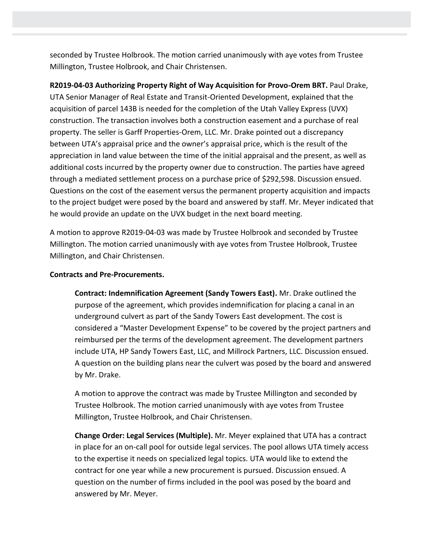seconded by Trustee Holbrook. The motion carried unanimously with aye votes from Trustee Millington, Trustee Holbrook, and Chair Christensen.

**R2019-04-03 Authorizing Property Right of Way Acquisition for Provo-Orem BRT.** Paul Drake, UTA Senior Manager of Real Estate and Transit-Oriented Development, explained that the acquisition of parcel 143B is needed for the completion of the Utah Valley Express (UVX) construction. The transaction involves both a construction easement and a purchase of real property. The seller is Garff Properties-Orem, LLC. Mr. Drake pointed out a discrepancy between UTA's appraisal price and the owner's appraisal price, which is the result of the appreciation in land value between the time of the initial appraisal and the present, as well as additional costs incurred by the property owner due to construction. The parties have agreed through a mediated settlement process on a purchase price of \$292,598. Discussion ensued. Questions on the cost of the easement versus the permanent property acquisition and impacts to the project budget were posed by the board and answered by staff. Mr. Meyer indicated that he would provide an update on the UVX budget in the next board meeting.

A motion to approve R2019-04-03 was made by Trustee Holbrook and seconded by Trustee Millington. The motion carried unanimously with aye votes from Trustee Holbrook, Trustee Millington, and Chair Christensen.

## **Contracts and Pre-Procurements.**

**Contract: Indemnification Agreement (Sandy Towers East).** Mr. Drake outlined the purpose of the agreement, which provides indemnification for placing a canal in an underground culvert as part of the Sandy Towers East development. The cost is considered a "Master Development Expense" to be covered by the project partners and reimbursed per the terms of the development agreement. The development partners include UTA, HP Sandy Towers East, LLC, and Millrock Partners, LLC. Discussion ensued. A question on the building plans near the culvert was posed by the board and answered by Mr. Drake.

A motion to approve the contract was made by Trustee Millington and seconded by Trustee Holbrook. The motion carried unanimously with aye votes from Trustee Millington, Trustee Holbrook, and Chair Christensen.

**Change Order: Legal Services (Multiple).** Mr. Meyer explained that UTA has a contract in place for an on-call pool for outside legal services. The pool allows UTA timely access to the expertise it needs on specialized legal topics. UTA would like to extend the contract for one year while a new procurement is pursued. Discussion ensued. A question on the number of firms included in the pool was posed by the board and answered by Mr. Meyer.